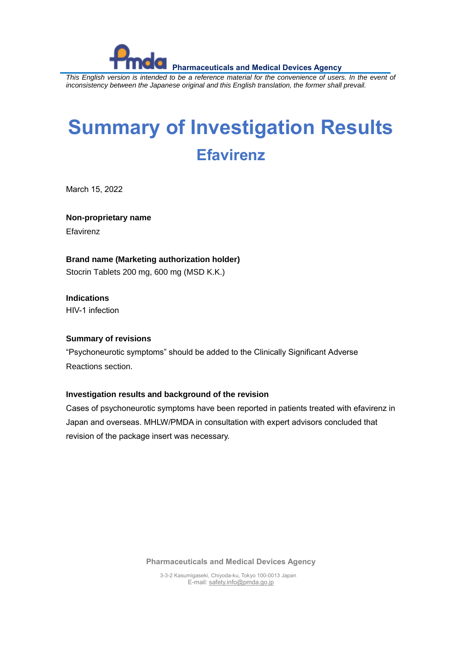

 **Pharmaceuticals and Medical Devices Agency** *This English version is intended to be a reference material for the convenience of users. In the event of inconsistency between the Japanese original and this English translation, the former shall prevail.*

## **Summary of Investigation Results Efavirenz**

March 15, 2022

**Non-proprietary name**

**Efavirenz** 

**Brand name (Marketing authorization holder)**

Stocrin Tablets 200 mg, 600 mg (MSD K.K.)

**Indications** HIV-1 infection

## **Summary of revisions**

"Psychoneurotic symptoms" should be added to the Clinically Significant Adverse Reactions section.

## **Investigation results and background of the revision**

Cases of psychoneurotic symptoms have been reported in patients treated with efavirenz in Japan and overseas. MHLW/PMDA in consultation with expert advisors concluded that revision of the package insert was necessary.

**Pharmaceuticals and Medical Devices Agency**

3-3-2 Kasumigaseki, Chiyoda-ku, Tokyo 100-0013 Japan E-mail[: safety.info@pmda.go.jp](mailto:safety.info@pmda.go.jp)